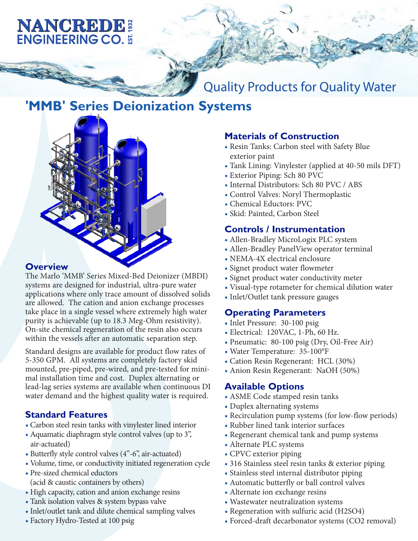# **NANCREDE: ENGINEERING CO. 5**

Quality Products for Quality Water

## **'MMB' Series Deionization Systems**



#### **Overview**

The Marlo 'MMB' Series Mixed-Bed Deionizer (MBDI) systems are designed for industrial, ultra-pure water applications where only trace amount of dissolved solids are allowed. The cation and anion exchange processes take place in a single vessel where extremely high water purity is achievable (up to 18.3 Meg-Ohm resistivity). On-site chemical regeneration of the resin also occurs within the vessels after an automatic separation step.

Standard designs are available for product flow rates of 5-350 GPM. All systems are completely factory skid mounted, pre-piped, pre-wired, and pre-tested for minimal installation time and cost. Duplex alternating or lead-lag series systems are available when continuous DI water demand and the highest quality water is required.

## **Standard Features**

- Carbon steel resin tanks with vinylester lined interior
- Aquamatic diaphragm style control valves (up to 3", air-actuated)
- Butterfly style control valves (4"-6", air-actuated)
- Volume, time, or conductivity initiated regeneration cycle
- Pre-sized chemical eductors (acid & caustic containers by others)
- High capacity, cation and anion exchange resins
- Tank isolation valves & system bypass valve
- Inlet/outlet tank and dilute chemical sampling valves
- Factory Hydro-Tested at 100 psig

### **Materials of Construction**

- Resin Tanks: Carbon steel with Safety Blue exterior paint
- Tank Lining: Vinylester (applied at 40-50 mils DFT)
- Exterior Piping: Sch 80 PVC

**For more information please contact us** 

**at +1 888-569-2837 or at info@nancrede.com**

- Internal Distributors: Sch 80 PVC / ABS
- Control Valves: Noryl Thermoplastic
- Chemical Eductors: PVC
- Skid: Painted, Carbon Steel

#### **Controls / Instrumentation**

- Allen-Bradley MicroLogix PLC system
- Allen-Bradley PanelView operator terminal
- NEMA-4X electrical enclosure
- Signet product water flowmeter
- Signet product water conductivity meter
- Visual-type rotameter for chemical dilution water
- Inlet/Outlet tank pressure gauges

#### **Operating Parameters**

- Inlet Pressure: 30-100 psig
- Electrical: 120VAC, 1-Ph, 60 Hz.
- Pneumatic: 80-100 psig (Dry, Oil-Free Air)
- Water Temperature: 35-100°F
- Cation Resin Regenerant: HCL (30%)
- Anion Resin Regenerant: NaOH (50%)

#### **Available Options**

- ASME Code stamped resin tanks
- Duplex alternating systems
- Recirculation pump systems (for low-flow periods)
- Rubber lined tank interior surfaces
- Regenerant chemical tank and pump systems
- Alternate PLC systems
- CPVC exterior piping
- 316 Stainless steel resin tanks & exterior piping
- Stainless steel internal distributor piping
- Automatic butterfly or ball control valves
- Alternate ion exchange resins
- Wastewater neutralization systems
- Regeneration with sulfuric acid (H2SO4)
- Forced-draft decarbonator systems (CO2 removal)